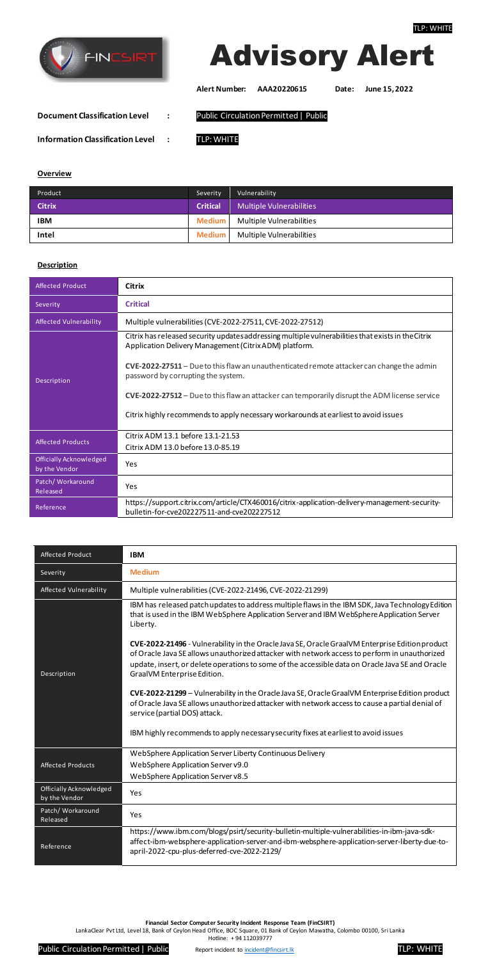

#### **Financial Sector Computer Security Incident Response Team (FinCSIRT)**

LankaClear Pvt Ltd, Level 18, Bank of Ceylon Head Office, BOC Square, 01 Bank of Ceylon Mawatha, Colombo 00100, Sri Lanka

Hotline: + 94 112039777

Public Circulation Permitted | Public Report incident to *incident@fincsirt.lk* **TLP: WHITE** 



| Affected Product       | IBM                                                                                                                                                                                                                                                                                                                                  |
|------------------------|--------------------------------------------------------------------------------------------------------------------------------------------------------------------------------------------------------------------------------------------------------------------------------------------------------------------------------------|
| Severity               | <b>Medium</b>                                                                                                                                                                                                                                                                                                                        |
| Affected Vulnerability | Multiple vulnerabilities (CVE-2022-21496, CVE-2022-21299)                                                                                                                                                                                                                                                                            |
|                        | IBM has released patch updates to address multiple flaws in the IBM SDK, Java Technology Edition<br>that is used in the IBM WebSphere Application Server and IBM WebSphere Application Server<br>Liberty.                                                                                                                            |
| Description            | CVE-2022-21496 - Vulnerability in the Oracle Java SE, Oracle Graal VM Enterprise Edition product<br>of Oracle Java SE allows unauthorized attacker with network access to perform in unauthorized<br>update, insert, or delete operations to some of the accessible data on Oracle Java SE and Oracle<br>GraalVM Enterprise Edition. |
|                        | CVE-2022-21299 - Vulnerability in the Oracle Java SE, Oracle Graal VM Enterprise Edition product<br>of Oracle Java SE allows unauthorized attacker with network access to cause a partial denial of<br>service (partial DOS) attack.                                                                                                 |

|                                          | IBM highly recommends to apply necessary security fixes at earliest to avoid issues                                                                                                                                                        |
|------------------------------------------|--------------------------------------------------------------------------------------------------------------------------------------------------------------------------------------------------------------------------------------------|
|                                          | WebSphere Application Server Liberty Continuous Delivery                                                                                                                                                                                   |
| Affected Products                        | WebSphere Application Server v9.0                                                                                                                                                                                                          |
|                                          | WebSphere Application Server v8.5                                                                                                                                                                                                          |
| Officially Acknowledged<br>by the Vendor | Yes                                                                                                                                                                                                                                        |
| Patch/Workaround<br>Released             | Yes                                                                                                                                                                                                                                        |
| Reference                                | https://www.ibm.com/blogs/psirt/security-bulletin-multiple-vulnerabilities-in-ibm-java-sdk-<br>affect-ibm-websphere-application-server-and-ibm-websphere-application-server-liberty-due-to-<br>april-2022-cpu-plus-deferred-cve-2022-2129/ |

# Advisory Alert

**Alert Number: AAA20220615 Date: June 15, 2022**

**Document Classification Level :** Public Circulation Permitted | Public

**Information Classification Level :** TLP: WHITE

#### **Overview**

| Product       | Severity        | Vulnerability                          |
|---------------|-----------------|----------------------------------------|
| <b>Citrix</b> | <b>Critical</b> | <b>Multiple Vulnerabilities</b>        |
| <b>IBM</b>    |                 | <b>Medium</b> Multiple Vulnerabilities |
| Intel         | <b>Medium</b>   | Multiple Vulnerabilities               |

## **Description**

| <b>Affected Product</b>                  | <b>Citrix</b>                                                                                                                                                                                                                                                                                                                                                                                                                                                                                         |
|------------------------------------------|-------------------------------------------------------------------------------------------------------------------------------------------------------------------------------------------------------------------------------------------------------------------------------------------------------------------------------------------------------------------------------------------------------------------------------------------------------------------------------------------------------|
| Severity                                 | <b>Critical</b>                                                                                                                                                                                                                                                                                                                                                                                                                                                                                       |
| Affected Vulnerability                   | Multiple vulnerabilities (CVE-2022-27511, CVE-2022-27512)                                                                                                                                                                                                                                                                                                                                                                                                                                             |
| Description                              | Citrix has released security updates addressing multiple vulnerabilities that exists in the Citrix<br>Application Delivery Management (Citrix ADM) platform.<br><b>CVE-2022-27511</b> – Due to this flaw an unauthenticated remote attacker can change the admin<br>password by corrupting the system.<br><b>CVE-2022-27512</b> – Due to this flaw an attacker can temporarily disrupt the ADM license service<br>Citrix highly recommends to apply necessary workarounds at earliest to avoid issues |
| <b>Affected Products</b>                 | Citrix ADM 13.1 before 13.1-21.53<br>Citrix ADM 13.0 before 13.0-85.19                                                                                                                                                                                                                                                                                                                                                                                                                                |
| Officially Acknowledged<br>by the Vendor | Yes                                                                                                                                                                                                                                                                                                                                                                                                                                                                                                   |
| Patch/Workaround<br>Released             | Yes                                                                                                                                                                                                                                                                                                                                                                                                                                                                                                   |
| Reference                                | https://support.citrix.com/article/CTX460016/citrix-application-delivery-management-security-<br>bulletin-for-cve202227511-and-cve202227512                                                                                                                                                                                                                                                                                                                                                           |